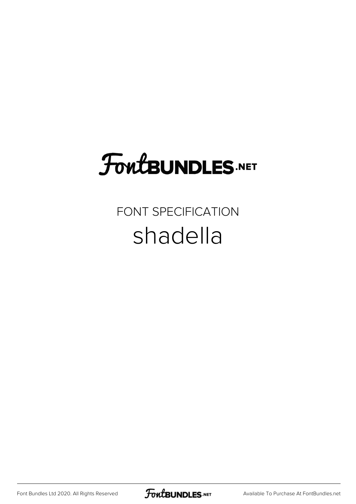# **FoutBUNDLES.NET**

### FONT SPECIFICATION shadella

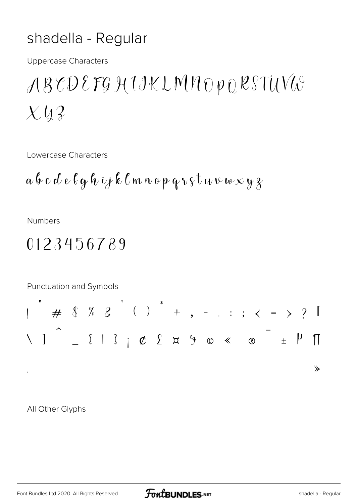#### shadella - Regular

**Uppercase Characters** 

## ABCDEFGHIKLMNOPQRSTUVO  $X\mathcal{Q}$

Lowercase Characters

$$
a\,b\,c\,d\,e\,\ell\,g\,\ell\,\nu\,ij\,\ell\,\ell\,m\,n\,e\,p\,q\,\nu\,\varsigma\,t\,a\,\nu\,\nu\,\nu\times y\,\chi
$$

**Numbers** 

#### 0123456789



All Other Glyphs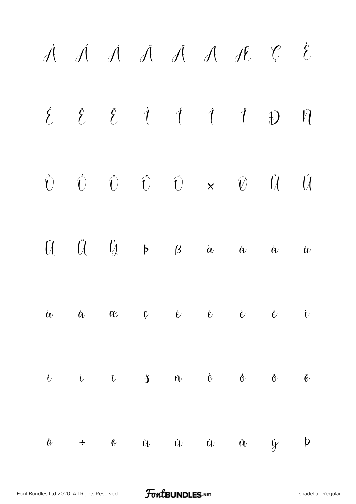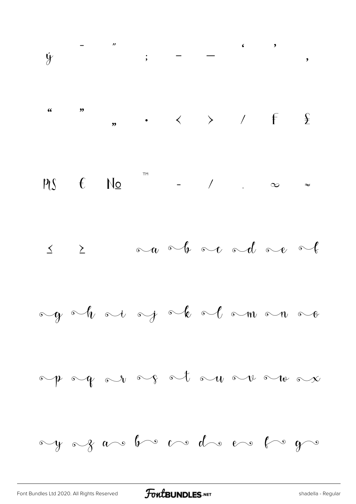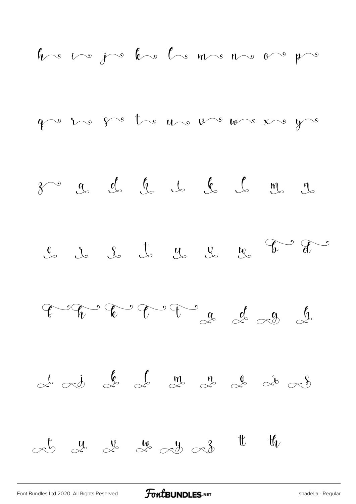